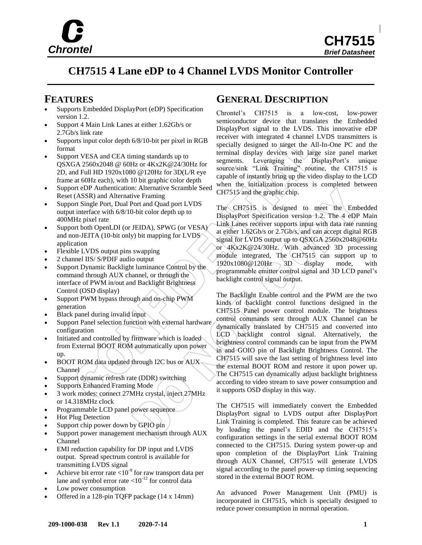

**CH7515** *Brief Datasheet*

# **CH7515 4 Lane eDP to 4 Channel LVDS Monitor Controller**

- Supports Embedded DisplayPort (eDP) Specification version 1.2.
- Support 4 Main Link Lanes at either 1.62Gb/s or 2.7Gb/s link rate
- Supports input color depth 6/8/10-bit per pixel in RGB format
- Support VESA and CEA timing standards up to QSXGA 2560x2048 @ 60Hz or 4Kx2K@24/30Hz for 2D, and Full HD 1920x1080 @120Hz for 3D(L/R eye frame at 60Hz each), with 10 bit graphic color depth
- Support eDP Authentication: Alternative Scramble Seed Reset (ASSR) and Alternative Framing
- Support Single Port, Dual Port and Quad port LVDS output interface with 6/8/10-bit color depth up to 400MHz pixel rate
- Support both OpenLDI (or JEIDA), SPWG (or VESA) and non-JEITA (10-bit only) bit mapping for LVDS application
- Flexible LVDS output pins swapping
- 2 channel IIS/ S/PDIF audio output
- Support Dynamic Backlight luminance Control by the command through AUX channel, or through the interface of PWM in/out and Backlight Brightness Control (OSD display)
- Support PWM bypass through and on-chip PWM generation
- Black panel during invalid input
- Support Panel selection function with external hardware configuration
- Initiated and controlled by firmware which is loaded from External BOOT ROM automatically upon power up.
- $\bullet$  BOOT ROM data updated through I2C bus or AUX Channel
- Support dynamic refresh rate (DDR) switching
- Supports Enhanced Framing Mode
- 3 work modes: connect 27MHz crystal, inject 27MHz or 14.318MHz clock
- Programmable LCD panel power sequence
- Hot Plug Detection
- Support chip power down by GPIO pin
- Support power management mechanism through AUX Channel
- EMI reduction capability for DP input and LVDS output. Spread spectrum control is available for transmitting LVDS signal
- Achieve bit error rate  $\lt 10^{-9}$  for raw transport data per lane and symbol error rate  $\langle 10^{-12}$  for control data
- Low power consumption
- Offered in a 128-pin TQFP package (14 x 14mm)

#### **FEATURES GENERAL DESCRIPTION**

Chrontel's CH7515 is a low-cost, low-power semiconductor device that translates the Embedded DisplayPort signal to the LVDS. This innovative eDP receiver with integrated 4 channel LVDS transmitters is specially designed to target the All-In-One PC and the terminal display devices with large size panel market segments. Leveraging the DisplayPort's unique source/sink "Link Training" routine, the CH7515 is capable of instantly bring up the video display to the LCD when the initialization process is completed between CH7515 and the graphic chip.

The CH7515 is designed to meet the Embedded DisplayPort Specification version 1.2. The 4 eDP Main Link Lanes receiver supports input with data rate running at either 1.62Gb/s or 2.7Gb/s, and can accept digital RGB signal for LVDS output up to QSXGA 2560x2048@60Hz or 4Kx2K@24/30Hz. With advanced 3D processing module integrated, The  $CH7515$  can support up to  $1920x1080@120Hz \rightarrow 3D$  display mode, with programmable emitter control signal and 3D LCD panel's backlight control signal output.

The Backlight Enable control and the PWM are the two kinds of backlight control functions designed in the CH7515 Panel power control module. The brightness control commands sent through AUX Channel can be dynamically translated by CH7515 and converted into  $LCD \backslash$ backlight control signal. Alternatively, the brightness control commands can be input from the PWM in and GOIO pin of Backlight Brightness Control. The CH7515 will save the last setting of brightness level into the external BOOT ROM and restore it upon power up. The CH7515 can dynamically adjust backlight brightness according to video stream to save power consumption and it supports OSD display in this way.

The CH7515 will immediately convert the Embedded DisplayPort signal to LVDS output after DisplayPort Link Training is completed. This feature can be achieved by loading the panel's EDID and the CH7515's configuration settings in the serial external BOOT ROM connected to the CH7515. During system power-up and upon completion of the DisplayPort Link Training through AUX Channel, CH7515 will generate LVDS signal according to the panel power-up timing sequencing stored in the external BOOT ROM.

An advanced Power Management Unit (PMU) is incorporated in CH7515, which is specially designed to reduce power consumption in normal operation.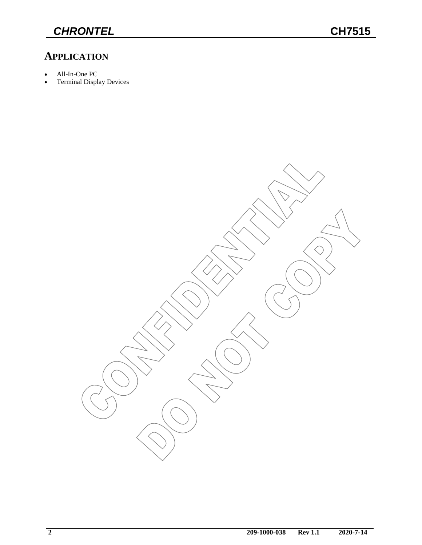### **APPLICATION**

- All-In-One PC
- Terminal Display Devices

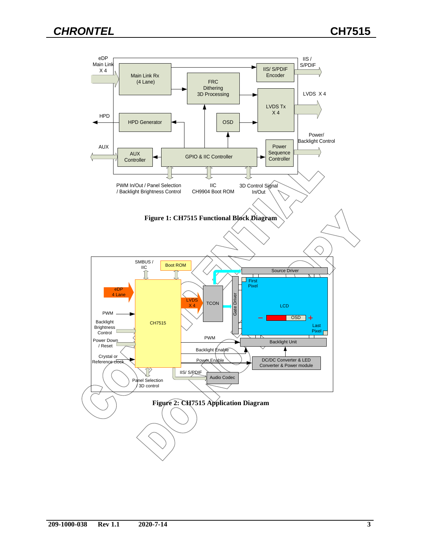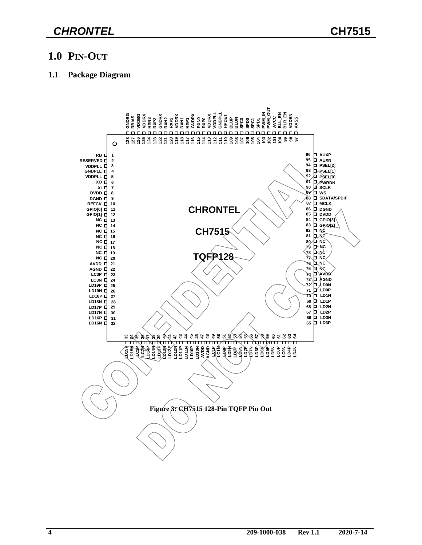#### **1.0 PIN-OUT**

#### **1.1 Package Diagram**

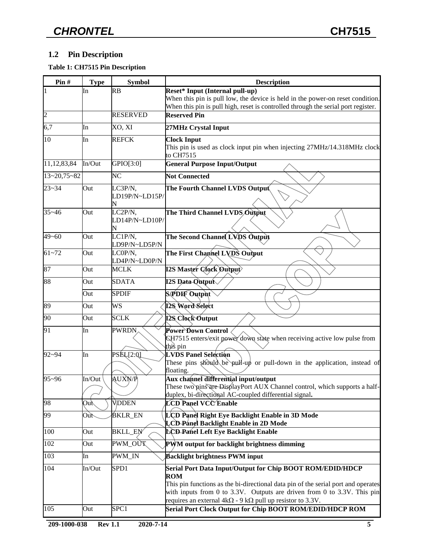#### **1.2 Pin Description**

#### **Table 1: CH7515 Pin Description**

| Pin#              | <b>Type</b> | <b>Symbol</b>                   | <b>Description</b>                                                                                                                   |
|-------------------|-------------|---------------------------------|--------------------------------------------------------------------------------------------------------------------------------------|
|                   | In          | <b>RB</b>                       | <b>Reset* Input (Internal pull-up)</b><br>When this pin is pull low, the device is held in the power-on reset condition.             |
|                   |             |                                 | When this pin is pull high, reset is controlled through the serial port register.                                                    |
| $\overline{c}$    |             | <b>RESERVED</b>                 | <b>Reserved Pin</b>                                                                                                                  |
| 6,7               | In          | XO, XI                          | 27MHz Crystal Input                                                                                                                  |
| 10                | In          | <b>REFCK</b>                    | <b>Clock Input</b>                                                                                                                   |
|                   |             |                                 | This pin is used as clock input pin when injecting 27MHz/14.318MHz clock<br>to CH7515                                                |
| 11,12,83,84       | In/Out      | GPIO[3:0]                       | <b>General Purpose Input/Output</b>                                                                                                  |
| $13 - 20,75 - 82$ |             | N <sub>C</sub>                  | <b>Not Connected</b>                                                                                                                 |
| $23 - 34$         | Out         | LC3P/N,                         | The Fourth Channel LVDS Output                                                                                                       |
|                   |             | LD19P/N~LD15P/                  |                                                                                                                                      |
|                   |             | N                               | The Third Channel LVDS Output                                                                                                        |
| $35 - 46$         | Out         | LC2P/N,<br>LD14P/N~LD10P/       |                                                                                                                                      |
|                   |             |                                 |                                                                                                                                      |
| $49 - 60$         | Out         | LC1P/N,<br>LD9P/N~LD5P/N        | The Second Channel LVDS Output                                                                                                       |
| $61 - 72$         | Out         | LCOP/N,                         | The First Channel LVDS Output                                                                                                        |
|                   |             | LD4P/N~LD0P/N                   |                                                                                                                                      |
| 87                | Out         | <b>MCLK</b>                     | <b>I2S Master Clock Output</b>                                                                                                       |
| 88                | Out         | <b>SDATA</b>                    | <b>I2S Data Qutput</b>                                                                                                               |
|                   | Out         | <b>SPDIF</b>                    | S/PDIF Output                                                                                                                        |
| 89                | Out         | <b>WS</b>                       | 128 Word Select                                                                                                                      |
| 90                | Out         | <b>SCLK</b>                     | I2S Clock Output                                                                                                                     |
| 91                | In          | <b>PWRDN</b>                    | Power Down Control                                                                                                                   |
|                   |             |                                 | CH7515 enters/exit power down state when receiving active low pulse from                                                             |
| $92 - 94$         | In          | $\overline{\mathrm{PSEL}}[2:0]$ | this pin<br><b>LVDS Panel Selection</b>                                                                                              |
|                   |             |                                 | These pins should be pull-up or pull-down in the application, instead of                                                             |
|                   |             |                                 | floating.                                                                                                                            |
| $95 - 96$         | In/Out      | AUXN/P                          | Aux channel differential input/output                                                                                                |
|                   |             |                                 | These two pins are DisplayPort AUX Channel control, which supports a half-<br>duplex, bi-directional AC-coupled differential signal. |
| 98                | Out         | <b>VDDEN</b>                    | LCD Panel VCC Enable                                                                                                                 |
| 99                | Oùt         | BKLR_EN                         | LCD Panel Right Eye Backlight Enable in 3D Mode                                                                                      |
|                   |             |                                 | LCD-Panel Backlight Enable in 2D Mode                                                                                                |
| 100               | Out         | <b>BKLL_EN</b>                  | <b>LCD-Panel Left Eye Backlight Enable</b>                                                                                           |
| 102               | Out         | PWM_OUT                         | PWM output for backlight brightness dimming                                                                                          |
| 103               | In          | PWM IN                          | <b>Backlight brightness PWM input</b>                                                                                                |
| 104               | In/Out      | SPD1                            | Serial Port Data Input/Output for Chip BOOT ROM/EDID/HDCP                                                                            |
|                   |             |                                 | <b>ROM</b><br>This pin functions as the bi-directional data pin of the serial port and operates                                      |
|                   |             |                                 | with inputs from 0 to 3.3V. Outputs are driven from 0 to 3.3V. This pin                                                              |
|                   |             |                                 | requires an external $4k\Omega$ - 9 k $\Omega$ pull up resistor to 3.3V.                                                             |
| 105               | Out         | SPC1                            | Serial Port Clock Output for Chip BOOT ROM/EDID/HDCP ROM                                                                             |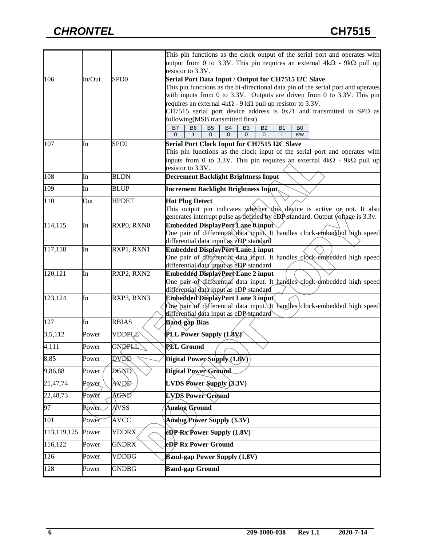|             |              |                  | This pin functions as the clock output of the serial port and operates with                                                                                                                                            |
|-------------|--------------|------------------|------------------------------------------------------------------------------------------------------------------------------------------------------------------------------------------------------------------------|
|             |              |                  | output from 0 to 3.3V. This pin requires an external 4kΩ - 9kΩ pull up<br>resistor to 3.3V.                                                                                                                            |
| 106         | In/Out       | SP <sub>D0</sub> | Serial Port Data Input / Output for CH7515 I2C Slave                                                                                                                                                                   |
|             |              |                  | This pin functions as the bi-directional data pin of the serial port and operates                                                                                                                                      |
|             |              |                  | with inputs from 0 to 3.3V. Outputs are driven from 0 to 3.3V. This pin                                                                                                                                                |
|             |              |                  | requires an external $4k\Omega$ - 9 k $\Omega$ pull up resistor to 3.3V.                                                                                                                                               |
|             |              |                  | CH7515 serial port device address is 0x21 and transmitted in SPD as                                                                                                                                                    |
|             |              |                  | following(MSB transmitted first)                                                                                                                                                                                       |
|             |              |                  |                                                                                                                                                                                                                        |
|             |              |                  | <b>B7</b><br><b>B5</b><br>B <sub>6</sub><br><b>B4</b><br><b>B2</b><br><b>B1</b><br>B <sub>0</sub><br>B <sub>3</sub><br>$\mathbf 0$<br>1<br>$\Omega$<br>$\Omega$<br>$\mathbf{0}$<br>$\mathbf{0}$<br>$\mathbf{1}$<br>R/W |
| 107         | In           | SPC <sub>0</sub> | Serial Port Clock Input for CH7515 I2C Slave                                                                                                                                                                           |
|             |              |                  | This pin functions as the clock input of the serial port and operates with                                                                                                                                             |
|             |              |                  | inputs from 0 to 3.3V. This pin requires an external $4k\Omega$ - $9k\Omega$ pull up                                                                                                                                   |
|             |              |                  | resistor to 3.3V.                                                                                                                                                                                                      |
| 108         | In           | <b>BLDN</b>      | <b>Decrement Backlight Brightness Input</b>                                                                                                                                                                            |
| 109         | In           | <b>BLUP</b>      | <b>Increment Backlight Brightness Input,</b>                                                                                                                                                                           |
| 110         | Out          | <b>HPDET</b>     | <b>Hot Plug Detect</b>                                                                                                                                                                                                 |
|             |              |                  | This output pin indicates whether this dévice is active on not. It also                                                                                                                                                |
|             |              |                  | generates interrupt pulse as defined by eDP standard. Output voltage is 3.3v.                                                                                                                                          |
| 114,115     | In           | RXP0, RXN0       | Embedded DisplayPort Lane O.input                                                                                                                                                                                      |
|             |              |                  | One pair of differential data input. It handles clock-embedded high speed                                                                                                                                              |
|             |              |                  | differential data input as eDP standard                                                                                                                                                                                |
| 117,118     | In           | RXP1, RXN1       | Embedded DisplayPort Lane 1 input                                                                                                                                                                                      |
|             |              |                  | One pair of differential data input. It handles clock-embedded high speed                                                                                                                                              |
|             |              |                  | differential data input as eDP standard                                                                                                                                                                                |
| 120,121     | In           | RXP2, RXN2       | Embedded DisplayPort Lane 2 input                                                                                                                                                                                      |
|             |              |                  | One pair of differential data input. It handles clock-embedded high speed                                                                                                                                              |
|             |              |                  | differential data input as eDP standard                                                                                                                                                                                |
|             |              |                  |                                                                                                                                                                                                                        |
| 123,124     | In           | RXP3, RXN3       | Embedded DisplayPort Lane 3 input                                                                                                                                                                                      |
|             |              |                  | One pair of differential data input. It handles clock-embedded high speed                                                                                                                                              |
|             |              |                  | differential data input as eDP/standard                                                                                                                                                                                |
| 127         | In           | <b>RBIAS</b>     | <b>Band-gap Bias</b>                                                                                                                                                                                                   |
| 3,5,112     | Power        | VDDPLL           | <b>PLL Power Supply (1.8V)</b>                                                                                                                                                                                         |
| 4,111       | Power        | <b>GNDPLL</b>    | PLL Ground                                                                                                                                                                                                             |
| 8,85        | Power        | <b>DVDR</b>      | $\left[\text{Digital Power\text{-}Supply}\overline{(1.8\text{V})}\right]$                                                                                                                                              |
| 9,86,88     | Power        | <b>DGND</b>      | Digital Power Ground                                                                                                                                                                                                   |
| 21,47,74    | Power        | AVDD             | <b>LVDS Power Supply <math>(3.3V)</math></b>                                                                                                                                                                           |
| 22,48,73    | Power        | AGND             | <b>LVDS Power Ground</b>                                                                                                                                                                                               |
| 97          | <b>Power</b> | AVSS             | Analog Ground                                                                                                                                                                                                          |
| 101         | Power        | <b>AVCC</b>      | <b>Analog/Power Supply (3.3V)</b>                                                                                                                                                                                      |
| 113,119,125 | Power        | <b>VDDRX</b>     | $e^{i\theta}$ Rx Power Supply (1.8V)                                                                                                                                                                                   |
| 116,122     | Power        | <b>GNDRX</b>     | eDP Rx Power Ground                                                                                                                                                                                                    |
| 126         | Power        | <b>VDDBG</b>     | <b>Band-gap Power Supply (1.8V)</b>                                                                                                                                                                                    |
| 128         | Power        | <b>GNDBG</b>     | <b>Band-gap Ground</b>                                                                                                                                                                                                 |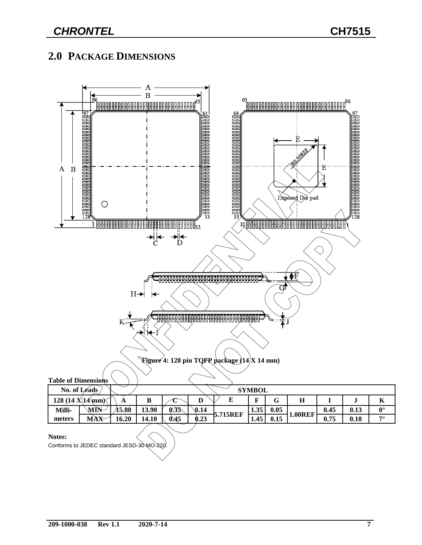# **2.0 PACKAGE DIMENSIONS**



#### **Notes:**

Conforms to JEDEC standard JESD-30 MO-220.